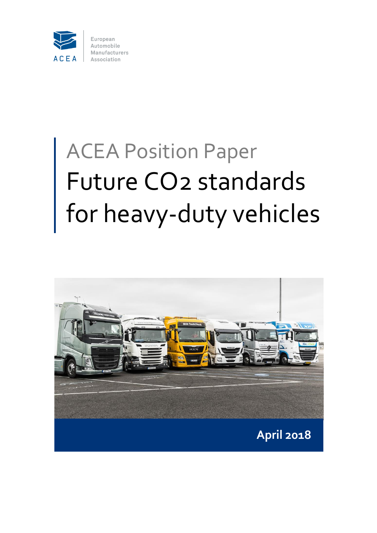

# ACEA Position Paper Future CO2 standards for heavy-duty vehicles

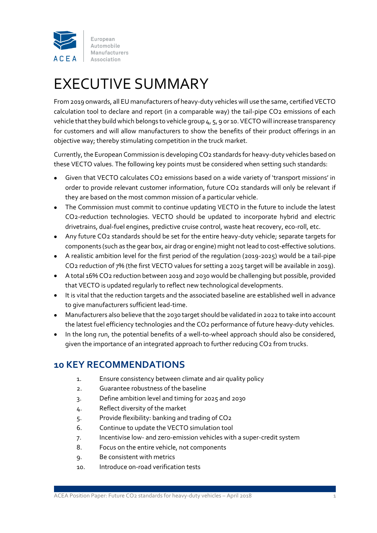

# EXECUTIVE SUMMARY

From 2019 onwards, all EU manufacturers of heavy-duty vehicles will use the same, certified VECTO calculation tool to declare and report (in a comparable way) the tail-pipe CO2 emissions of each vehicle that they build which belongs to vehicle group 4, 5, 9 or 10. VECTO will increase transparency for customers and will allow manufacturers to show the benefits of their product offerings in an objective way; thereby stimulating competition in the truck market.

Currently, the European Commission is developing CO2 standards for heavy-duty vehicles based on these VECTO values. The following key points must be considered when setting such standards:

- Given that VECTO calculates CO2 emissions based on a wide variety of 'transport missions' in order to provide relevant customer information, future CO2 standards will only be relevant if they are based on the most common mission of a particular vehicle.
- The Commission must commit to continue updating VECTO in the future to include the latest CO2-reduction technologies. VECTO should be updated to incorporate hybrid and electric drivetrains, dual-fuel engines, predictive cruise control, waste heat recovery, eco-roll, etc.
- Any future CO2 standards should be set for the entire heavy-duty vehicle; separate targets for components (such as the gear box, air drag or engine) might not lead to cost-effective solutions.
- A realistic ambition level for the first period of the regulation (2019-2025) would be a tail-pipe CO2 reduction of 7% (the first VECTO values for setting a 2025 target will be available in 2019).
- A total 16% CO2 reduction between 2019 and 2030 would be challenging but possible, provided that VECTO is updated regularly to reflect new technological developments.
- It is vital that the reduction targets and the associated baseline are established well in advance to give manufacturers sufficient lead-time.
- Manufacturers also believe that the 2030 target should be validated in 2022 to take into account the latest fuel efficiency technologies and the CO2 performance of future heavy-duty vehicles.
- In the long run, the potential benefits of a well-to-wheel approach should also be considered, given the importance of an integrated approach to further reducing CO2 from trucks.

### **10 KEY RECOMMENDATIONS**

- 1. Ensure consistency between climate and air quality policy
- 2. Guarantee robustness of the baseline
- 3. Define ambition level and timing for 2025 and 2030
- 4. Reflect diversity of the market
- 5. Provide flexibility: banking and trading of CO2
- 6. Continue to update the VECTO simulation tool
- 7. Incentivise low- and zero-emission vehicles with a super-credit system
- 8. Focus on the entire vehicle, not components
- 9. Be consistent with metrics
- 10. Introduce on-road verification tests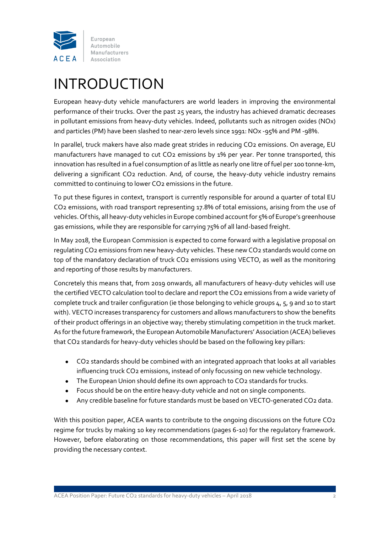

# INTRODUCTION

European heavy-duty vehicle manufacturers are world leaders in improving the environmental performance of their trucks. Over the past 25 years, the industry has achieved dramatic decreases in pollutant emissions from heavy-duty vehicles. Indeed, pollutants such as nitrogen oxides (NOx) and particles (PM) have been slashed to near-zero levels since 1991: NOx -95% and PM -98%.

In parallel, truck makers have also made great strides in reducing CO2 emissions. On average, EU manufacturers have managed to cut CO2 emissions by 1% per year. Per tonne transported, this innovation has resulted in a fuel consumption of as little as nearly one litre of fuel per 100 tonne-km, delivering a significant CO2 reduction. And, of course, the heavy-duty vehicle industry remains committed to continuing to lower CO2 emissions in the future.

To put these figures in context, transport is currently responsible for around a quarter of total EU CO2 emissions, with road transport representing 17.8% of total emissions, arising from the use of vehicles. Of this, all heavy-duty vehicles in Europe combined account for 5% of Europe's greenhouse gas emissions, while they are responsible for carrying 75% of all land-based freight.

In May 2018, the European Commission is expected to come forward with a legislative proposal on regulating CO2 emissions from new heavy-duty vehicles. These new CO2 standards would come on top of the mandatory declaration of truck CO2 emissions using VECTO, as well as the monitoring and reporting of those results by manufacturers.

Concretely this means that, from 2019 onwards, all manufacturers of heavy-duty vehicles will use the certified VECTO calculation tool to declare and report the CO2 emissions from a wide variety of complete truck and trailer configuration (ie those belonging to vehicle groups 4, 5, 9 and 10 to start with). VECTO increases transparency for customers and allows manufacturers to show the benefits of their product offerings in an objective way; thereby stimulating competition in the truck market. As for the future framework, the European Automobile Manufacturers' Association (ACEA) believes that CO2 standards for heavy-duty vehicles should be based on the following key pillars:

- CO2 standards should be combined with an integrated approach that looks at all variables influencing truck CO2 emissions, instead of only focussing on new vehicle technology.
- The European Union should define its own approach to CO2 standards for trucks.
- Focus should be on the entire heavy-duty vehicle and not on single components.
- Any credible baseline for future standards must be based on VECTO-generated CO2 data.

With this position paper, ACEA wants to contribute to the ongoing discussions on the future CO2 regime for trucks by making 10 key recommendations (pages 6-10) for the regulatory framework. However, before elaborating on those recommendations, this paper will first set the scene by providing the necessary context.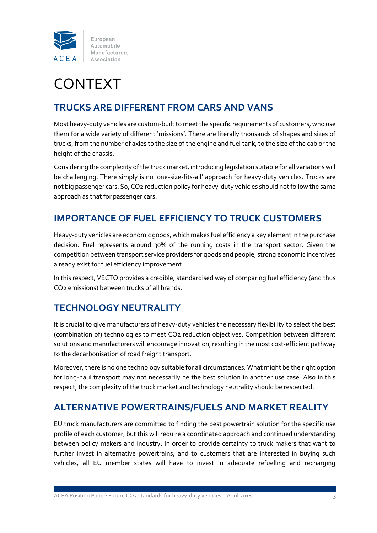

# CONTEXT

### **TRUCKS ARE DIFFERENT FROM CARS AND VANS**

Most heavy-duty vehicles are custom-built to meet the specific requirements of customers, who use them for a wide variety of different 'missions'. There are literally thousands of shapes and sizes of trucks, from the number of axles to the size of the engine and fuel tank, to the size of the cab or the height of the chassis.

Considering the complexity of the truck market, introducing legislation suitable for all variations will be challenging. There simply is no 'one-size-fits-all' approach for heavy-duty vehicles. Trucks are not big passenger cars. So, CO2 reduction policy for heavy-duty vehicles should not follow the same approach as that for passenger cars.

### **IMPORTANCE OF FUEL EFFICIENCY TO TRUCK CUSTOMERS**

Heavy-duty vehicles are economic goods, which makes fuel efficiency a key element in the purchase decision. Fuel represents around 30% of the running costs in the transport sector. Given the competition between transport service providers for goods and people, strong economic incentives already exist for fuel efficiency improvement.

In this respect, VECTO provides a credible, standardised way of comparing fuel efficiency (and thus CO2 emissions) between trucks of all brands.

## **TECHNOLOGY NEUTRALITY**

It is crucial to give manufacturers of heavy-duty vehicles the necessary flexibility to select the best (combination of) technologies to meet CO2 reduction objectives. Competition between different solutions and manufacturers will encourage innovation, resulting in the most cost-efficient pathway to the decarbonisation of road freight transport.

Moreover, there is no one technology suitable for all circumstances. What might be the right option for long-haul transport may not necessarily be the best solution in another use case. Also in this respect, the complexity of the truck market and technology neutrality should be respected.

### **ALTERNATIVE POWERTRAINS/FUELS AND MARKET REALITY**

EU truck manufacturers are committed to finding the best powertrain solution for the specific use profile of each customer, but this will require a coordinated approach and continued understanding between policy makers and industry. In order to provide certainty to truck makers that want to further invest in alternative powertrains, and to customers that are interested in buying such vehicles, all EU member states will have to invest in adequate refuelling and recharging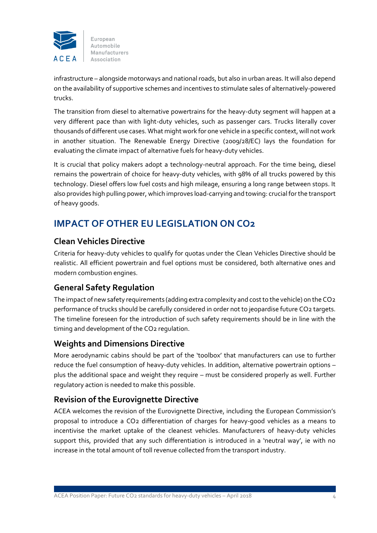

infrastructure – alongside motorways and national roads, but also in urban areas. It will also depend on the availability of supportive schemes and incentives to stimulate sales of alternatively-powered trucks.

The transition from diesel to alternative powertrains for the heavy-duty segment will happen at a very different pace than with light-duty vehicles, such as passenger cars. Trucks literally cover thousands of different use cases. What might work for one vehicle in a specific context, will not work in another situation. The Renewable Energy Directive (2009/28/EC) lays the foundation for evaluating the climate impact of alternative fuels for heavy-duty vehicles.

It is crucial that policy makers adopt a technology-neutral approach. For the time being, diesel remains the powertrain of choice for heavy-duty vehicles, with 98% of all trucks powered by this technology. Diesel offers low fuel costs and high mileage, ensuring a long range between stops. It also provides high pulling power, which improves load-carrying and towing: crucial for the transport of heavy goods.

## **IMPACT OF OTHER EU LEGISLATION ON CO2**

#### **Clean Vehicles Directive**

Criteria for heavy-duty vehicles to qualify for quotas under the Clean Vehicles Directive should be realistic. All efficient powertrain and fuel options must be considered, both alternative ones and modern combustion engines.

### **General Safety Regulation**

The impact of new safety requirements (adding extra complexity and cost to the vehicle) on the CO2 performance of trucks should be carefully considered in order not to jeopardise future CO2 targets. The timeline foreseen for the introduction of such safety requirements should be in line with the timing and development of the CO2 regulation.

#### **Weights and Dimensions Directive**

More aerodynamic cabins should be part of the 'toolbox' that manufacturers can use to further reduce the fuel consumption of heavy-duty vehicles. In addition, alternative powertrain options – plus the additional space and weight they require – must be considered properly as well. Further regulatory action is needed to make this possible.

#### **Revision of the Eurovignette Directive**

ACEA welcomes the revision of the Eurovignette Directive, including the European Commission's proposal to introduce a CO2 differentiation of charges for heavy-good vehicles as a means to incentivise the market uptake of the cleanest vehicles. Manufacturers of heavy-duty vehicles support this, provided that any such differentiation is introduced in a 'neutral way', ie with no increase in the total amount of toll revenue collected from the transport industry.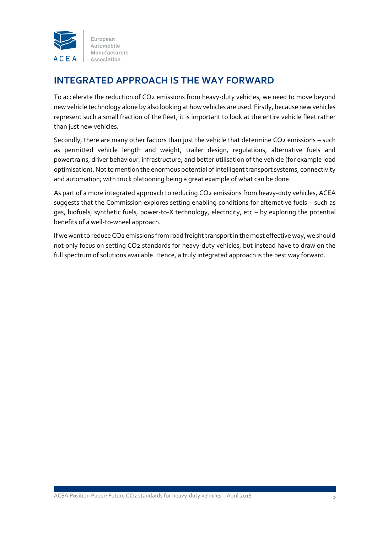

### **INTEGRATED APPROACH IS THE WAY FORWARD**

To accelerate the reduction of CO2 emissions from heavy-duty vehicles, we need to move beyond new vehicle technology alone by also looking at how vehicles are used. Firstly, because new vehicles represent such a small fraction of the fleet, it is important to look at the entire vehicle fleet rather than just new vehicles.

Secondly, there are many other factors than just the vehicle that determine CO2 emissions - such as permitted vehicle length and weight, trailer design, regulations, alternative fuels and powertrains, driver behaviour, infrastructure, and better utilisation of the vehicle (for example load optimisation). Not to mention the enormous potential of intelligent transport systems, connectivity and automation; with truck platooning being a great example of what can be done.

As part of a more integrated approach to reducing CO2 emissions from heavy-duty vehicles, ACEA suggests that the Commission explores setting enabling conditions for alternative fuels – such as gas, biofuels, synthetic fuels, power-to-X technology, electricity, etc – by exploring the potential benefits of a well-to-wheel approach.

If we want to reduce CO2 emissions from road freight transport in the most effective way, we should not only focus on setting CO2 standards for heavy-duty vehicles, but instead have to draw on the full spectrum of solutions available. Hence, a truly integrated approach is the best way forward.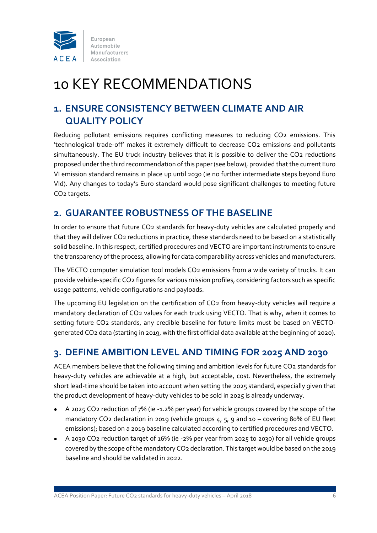

# 10 KEY RECOMMENDATIONS

### **1. ENSURE CONSISTENCY BETWEEN CLIMATE AND AIR QUALITY POLICY**

Reducing pollutant emissions requires conflicting measures to reducing CO2 emissions. This 'technological trade-off' makes it extremely difficult to decrease CO2 emissions and pollutants simultaneously. The EU truck industry believes that it is possible to deliver the CO2 reductions proposed under the third recommendation of this paper (see below), provided that the current Euro VI emission standard remains in place up until 2030 (ie no further intermediate steps beyond Euro VId). Any changes to today's Euro standard would pose significant challenges to meeting future CO2 targets.

### **2. GUARANTEE ROBUSTNESS OF THE BASELINE**

In order to ensure that future CO2 standards for heavy-duty vehicles are calculated properly and that they will deliver CO2 reductions in practice, these standards need to be based on a statistically solid baseline. In this respect, certified procedures and VECTO are important instruments to ensure the transparency of the process, allowing for data comparability across vehicles and manufacturers.

The VECTO computer simulation tool models CO2 emissions from a wide variety of trucks. It can provide vehicle-specific CO2 figures for various mission profiles, considering factors such as specific usage patterns, vehicle configurations and payloads.

The upcoming EU legislation on the certification of CO2 from heavy-duty vehicles will require a mandatory declaration of CO2 values for each truck using VECTO. That is why, when it comes to setting future CO2 standards, any credible baseline for future limits must be based on VECTOgenerated CO2 data (starting in 2019, with the first official data available at the beginning of 2020).

## **3. DEFINE AMBITION LEVEL AND TIMING FOR 2025 AND 2030**

ACEA members believe that the following timing and ambition levels for future CO2 standards for heavy-duty vehicles are achievable at a high, but acceptable, cost. Nevertheless, the extremely short lead-time should be taken into account when setting the 2025 standard, especially given that the product development of heavy-duty vehicles to be sold in 2025 is already underway.

- A 2025 CO2 reduction of 7% (ie -1.2% per year) for vehicle groups covered by the scope of the mandatory CO2 declaration in 2019 (vehicle groups 4, 5, 9 and 10 – covering 80% of EU fleet emissions); based on a 2019 baseline calculated according to certified procedures and VECTO.
- A 2030 CO2 reduction target of 16% (ie -2% per year from 2025 to 2030) for all vehicle groups covered by the scope of the mandatory CO2 declaration. This target would be based on the 2019 baseline and should be validated in 2022.

ACEA Position Paper: Future CO2 standards for heavy-duty vehicles – April 2018 6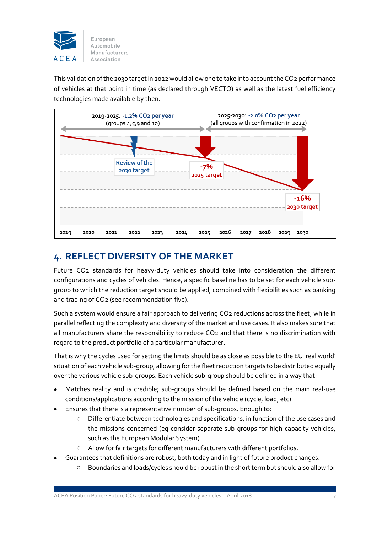

This validation of the 2030 target in 2022 would allow one to take into account the CO2 performance of vehicles at that point in time (as declared through VECTO) as well as the latest fuel efficiency technologies made available by then.



### **4. REFLECT DIVERSITY OF THE MARKET**

Future CO2 standards for heavy-duty vehicles should take into consideration the different configurations and cycles of vehicles. Hence, a specific baseline has to be set for each vehicle subgroup to which the reduction target should be applied, combined with flexibilities such as banking and trading of CO2 (see recommendation five).

Such a system would ensure a fair approach to delivering CO2 reductions across the fleet, while in parallel reflecting the complexity and diversity of the market and use cases. It also makes sure that all manufacturers share the responsibility to reduce CO2 and that there is no discrimination with regard to the product portfolio of a particular manufacturer.

That is why the cycles used for setting the limits should be as close as possible to the EU 'real world' situation of each vehicle sub-group, allowing for the fleet reduction targets to be distributed equally over the various vehicle sub-groups. Each vehicle sub-group should be defined in a way that:

- Matches reality and is credible; sub-groups should be defined based on the main real-use conditions/applications according to the mission of the vehicle (cycle, load, etc).
- Ensures that there is a representative number of sub-groups. Enough to:
	- Differentiate between technologies and specifications, in function of the use cases and the missions concerned (eg consider separate sub-groups for high-capacity vehicles, such as the European Modular System).
	- o Allow for fair targets for different manufacturers with different portfolios.
- Guarantees that definitions are robust, both today and in light of future product changes.
	- o Boundaries and loads/cycles should be robust in the short term but should also allow for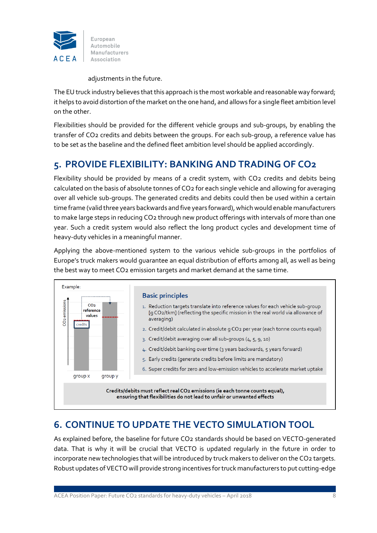

adjustments in the future.

The EU truck industry believes that this approach is the most workable and reasonable way forward; it helps to avoid distortion of the market on the one hand, and allows for a single fleet ambition level on the other.

Flexibilities should be provided for the different vehicle groups and sub-groups, by enabling the transfer of CO2 credits and debits between the groups. For each sub-group, a reference value has to be set as the baseline and the defined fleet ambition level should be applied accordingly.

### **5. PROVIDE FLEXIBILITY: BANKING AND TRADING OF CO2**

Flexibility should be provided by means of a credit system, with CO2 credits and debits being calculated on the basis of absolute tonnes of CO2 for each single vehicle and allowing for averaging over all vehicle sub-groups. The generated credits and debits could then be used within a certain time frame (valid three years backwards and five years forward), which would enable manufacturers to make large steps in reducing CO2 through new product offerings with intervals of more than one year. Such a credit system would also reflect the long product cycles and development time of heavy-duty vehicles in a meaningful manner.

Applying the above-mentioned system to the various vehicle sub-groups in the portfolios of Europe's truck makers would guarantee an equal distribution of efforts among all, as well as being the best way to meet CO2 emission targets and market demand at the same time.



## **6. CONTINUE TO UPDATE THE VECTO SIMULATION TOOL**

As explained before, the baseline for future CO2 standards should be based on VECTO-generated data. That is why it will be crucial that VECTO is updated regularly in the future in order to incorporate new technologies that will be introduced by truck makers to deliver on the CO2 targets. Robust updates of VECTO will provide strong incentives for truck manufacturers to put cutting-edge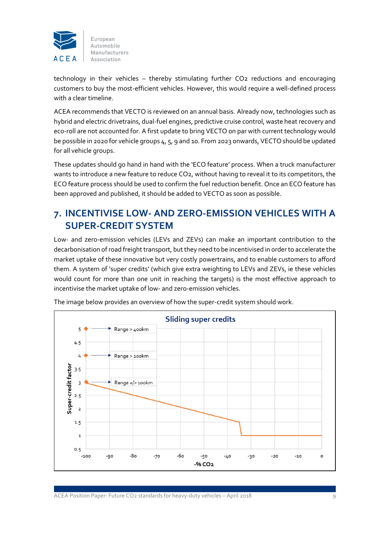

technology in their vehicles – thereby stimulating further CO2 reductions and encouraging customers to buy the most-efficient vehicles. However, this would require a well-defined process with a clear timeline.

ACEA recommends that VECTO is reviewed on an annual basis. Already now, technologies such as hybrid and electric drivetrains, dual-fuel engines, predictive cruise control, waste heat recovery and eco-roll are not accounted for. A first update to bring VECTO on par with current technology would be possible in 2020 for vehicle groups 4, 5, 9 and 10. From 2023 onwards, VECTO should be updated for all vehicle groups.

These updates should go hand in hand with the 'ECO feature' process. When a truck manufacturer wants to introduce a new feature to reduce CO2, without having to reveal it to its competitors, the ECO feature process should be used to confirm the fuel reduction benefit. Once an ECO feature has been approved and published, it should be added to VECTO as soon as possible.

### **7. INCENTIVISE LOW- AND ZERO-EMISSION VEHICLES WITH A SUPER-CREDIT SYSTEM**

Low- and zero-emission vehicles (LEVs and ZEVs) can make an important contribution to the decarbonisation of road freight transport, but they need to be incentivised in order to accelerate the market uptake of these innovative but very costly powertrains, and to enable customers to afford them. A system of 'super credits' (which give extra weighting to LEVs and ZEVs, ie these vehicles would count for more than one unit in reaching the targets) is the most effective approach to incentivise the market uptake of low- and zero-emission vehicles.



The image below provides an overview of how the super-credit system should work.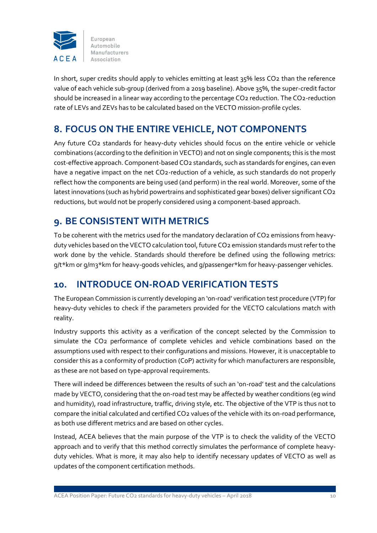

In short, super credits should apply to vehicles emitting at least 35% less CO2 than the reference value of each vehicle sub-group (derived from a 2019 baseline). Above 35%, the super-credit factor should be increased in a linear way according to the percentage CO2 reduction. The CO2-reduction rate of LEVs and ZEVs has to be calculated based on the VECTO mission-profile cycles.

### **8. FOCUS ON THE ENTIRE VEHICLE, NOT COMPONENTS**

Any future CO2 standards for heavy-duty vehicles should focus on the entire vehicle or vehicle combinations (according to the definition in VECTO) and not on single components; this is the most cost-effective approach. Component-based CO2 standards, such as standards for engines, can even have a negative impact on the net CO2-reduction of a vehicle, as such standards do not properly reflect how the components are being used (and perform) in the real world. Moreover, some of the latest innovations (such as hybrid powertrains and sophisticated gear boxes) deliver significant CO2 reductions, but would not be properly considered using a component-based approach.

### **9. BE CONSISTENT WITH METRICS**

To be coherent with the metrics used for the mandatory declaration of CO2 emissions from heavyduty vehicles based on the VECTO calculation tool, future CO2 emission standards must refer to the work done by the vehicle. Standards should therefore be defined using the following metrics: g/t\*km or g/m3\*km for heavy-goods vehicles, and g/passenger\*km for heavy-passenger vehicles.

### **10. INTRODUCE ON-ROAD VERIFICATION TESTS**

The European Commission is currently developing an 'on-road' verification test procedure (VTP) for heavy-duty vehicles to check if the parameters provided for the VECTO calculations match with reality.

Industry supports this activity as a verification of the concept selected by the Commission to simulate the CO2 performance of complete vehicles and vehicle combinations based on the assumptions used with respect to their configurations and missions. However, it is unacceptable to consider this as a conformity of production (CoP) activity for which manufacturers are responsible, as these are not based on type-approval requirements.

There will indeed be differences between the results of such an 'on-road' test and the calculations made by VECTO, considering that the on-road test may be affected by weather conditions (eg wind and humidity), road infrastructure, traffic, driving style, etc. The objective of the VTP is thus not to compare the initial calculated and certified CO2 values of the vehicle with its on-road performance, as both use different metrics and are based on other cycles.

Instead, ACEA believes that the main purpose of the VTP is to check the validity of the VECTO approach and to verify that this method correctly simulates the performance of complete heavyduty vehicles. What is more, it may also help to identify necessary updates of VECTO as well as updates of the component certification methods.